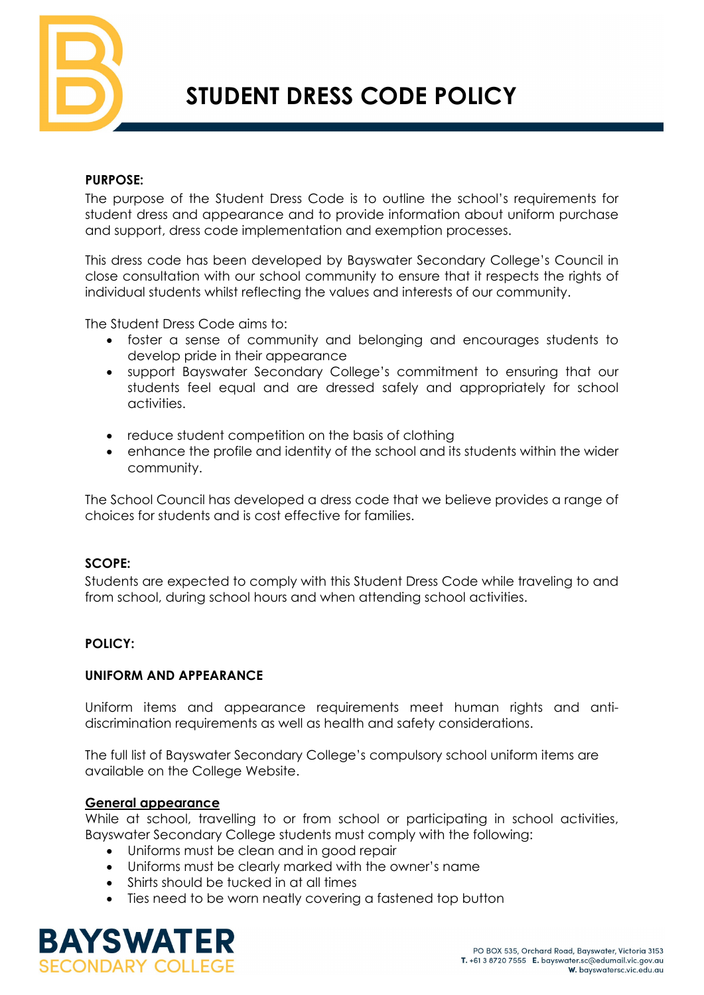

# **STUDENT DRESS CODE POLICY**

## **PURPOSE:**

The purpose of the Student Dress Code is to outline the school's requirements for student dress and appearance and to provide information about uniform purchase and support, dress code implementation and exemption processes.

This dress code has been developed by Bayswater Secondary College's Council in close consultation with our school community to ensure that it respects the rights of individual students whilst reflecting the values and interests of our community.

The Student Dress Code aims to:

- foster a sense of community and belonging and encourages students to develop pride in their appearance
- support Bayswater Secondary College's commitment to ensuring that our students feel equal and are dressed safely and appropriately for school activities.
- reduce student competition on the basis of clothing
- enhance the profile and identity of the school and its students within the wider community.

The School Council has developed a dress code that we believe provides a range of choices for students and is cost effective for families.

# **SCOPE:**

Students are expected to comply with this Student Dress Code while traveling to and from school, during school hours and when attending school activities.

# **POLICY:**

#### **UNIFORM AND APPEARANCE**

Uniform items and appearance requirements meet human rights and antidiscrimination requirements as well as health and safety considerations.

The full list of Bayswater Secondary College's compulsory school uniform items are available on the College Website.

#### **General appearance**

While at school, travelling to or from school or participating in school activities, Bayswater Secondary College students must comply with the following:

- Uniforms must be clean and in good repair
- Uniforms must be clearly marked with the owner's name
- Shirts should be tucked in at all times
- Ties need to be worn neatly covering a fastened top button

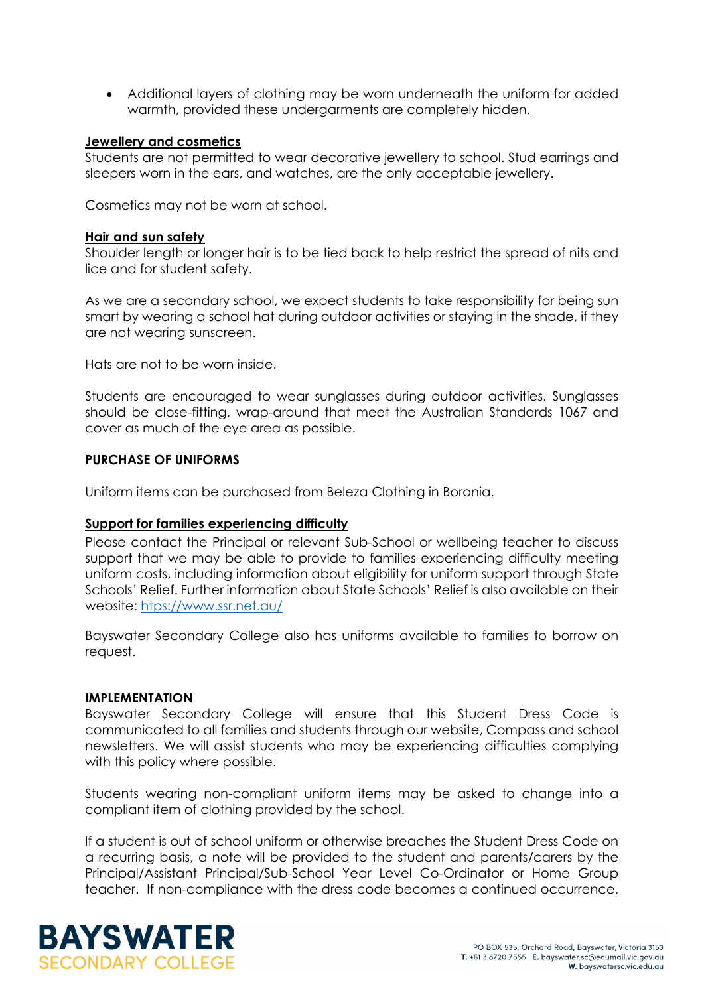• Additional layers of clothing may be worn underneath the uniform for added warmth, provided these undergarments are completely hidden.

### **Jewellery and cosmetics**

Students are not permitted to wear decorative jewellery to school. Stud earrings and sleepers worn in the ears, and watches, are the only acceptable jewellery.

Cosmetics may not be worn at school.

#### **Hair and sun safety**

Shoulder length or longer hair is to be tied back to help restrict the spread of nits and lice and for student safety.

As we are a secondary school, we expect students to take responsibility for being sun smart by wearing a school hat during outdoor activities or staying in the shade, if they are not wearing sunscreen.

Hats are not to be worn inside.

Students are encouraged to wear sunglasses during outdoor activities. Sunglasses should be close-fitting, wrap-around that meet the Australian Standards 1067 and cover as much of the eye area as possible.

#### **PURCHASE OF UNIFORMS**

Uniform items can be purchased from Beleza Clothing in Boronia.

#### **Support for families experiencing difficulty**

Please contact the Principal or relevant Sub-School or wellbeing teacher to discuss support that we may be able to provide to families experiencing difficulty meeting uniform costs, including information about eligibility for uniform support through State Schools' Relief. Further information about State Schools' Relief is also available on their website: [htps://www.ssr.net.au/](https://www.ssr.net.au/)

Bayswater Secondary College also has uniforms available to families to borrow on request.

#### **IMPLEMENTATION**

Bayswater Secondary College will ensure that this Student Dress Code is communicated to all families and students through our website, Compass and school newsletters. We will assist students who may be experiencing difficulties complying with this policy where possible.

Students wearing non-compliant uniform items may be asked to change into a compliant item of clothing provided by the school.

If a student is out of school uniform or otherwise breaches the Student Dress Code on a recurring basis, a note will be provided to the student and parents/carers by the Principal/Assistant Principal/Sub-School Year Level Co-Ordinator or Home Group teacher. If non-compliance with the dress code becomes a continued occurrence,

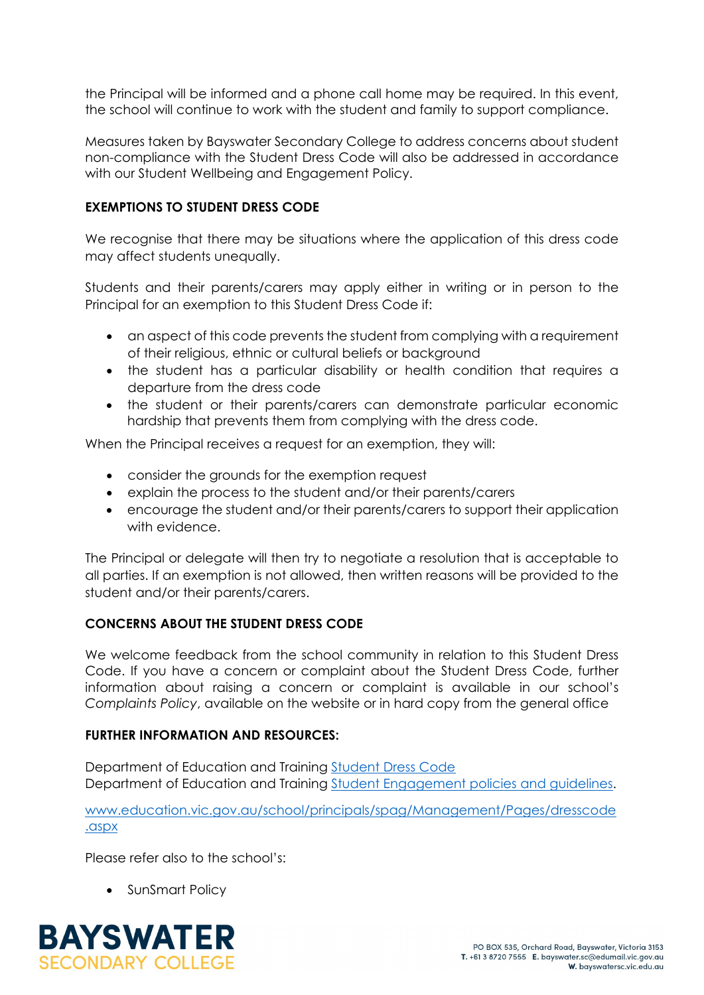the Principal will be informed and a phone call home may be required. In this event, the school will continue to work with the student and family to support compliance.

Measures taken by Bayswater Secondary College to address concerns about student non-compliance with the Student Dress Code will also be addressed in accordance with our Student Wellbeing and Engagement Policy.

# **EXEMPTIONS TO STUDENT DRESS CODE**

We recognise that there may be situations where the application of this dress code may affect students unequally.

Students and their parents/carers may apply either in writing or in person to the Principal for an exemption to this Student Dress Code if:

- an aspect of this code prevents the student from complying with a requirement of their religious, ethnic or cultural beliefs or background
- the student has a particular disability or health condition that requires a departure from the dress code
- the student or their parents/carers can demonstrate particular economic hardship that prevents them from complying with the dress code.

When the Principal receives a request for an exemption, they will:

- consider the grounds for the exemption request
- explain the process to the student and/or their parents/carers
- encourage the student and/or their parents/carers to support their application with evidence.

The Principal or delegate will then try to negotiate a resolution that is acceptable to all parties. If an exemption is not allowed, then written reasons will be provided to the student and/or their parents/carers.

# **CONCERNS ABOUT THE STUDENT DRESS CODE**

We welcome feedback from the school community in relation to this Student Dress Code. If you have a concern or complaint about the Student Dress Code, further information about raising a concern or complaint is available in our school's *Complaints Policy*, available on the website or in hard copy from the general office

#### **FURTHER INFORMATION AND RESOURCES:**

Department of Education and Training [Student Dress Code](https://www.education.vic.gov.au/school/principals/spag/management/pages/dresscode.aspx) Department of Education and Training [Student Engagement policies and guidelines.](https://www.education.vic.gov.au/school/teachers/behaviour/engagement/Pages/default.aspx)

[www.education.vic.gov.au/school/principals/spag/Management/Pages/dresscode](http://www.education.vic.gov.au/school/principals/spag/Management/Pages/dresscode.aspx) [.aspx](http://www.education.vic.gov.au/school/principals/spag/Management/Pages/dresscode.aspx)

Please refer also to the school's:

• SunSmart Policy